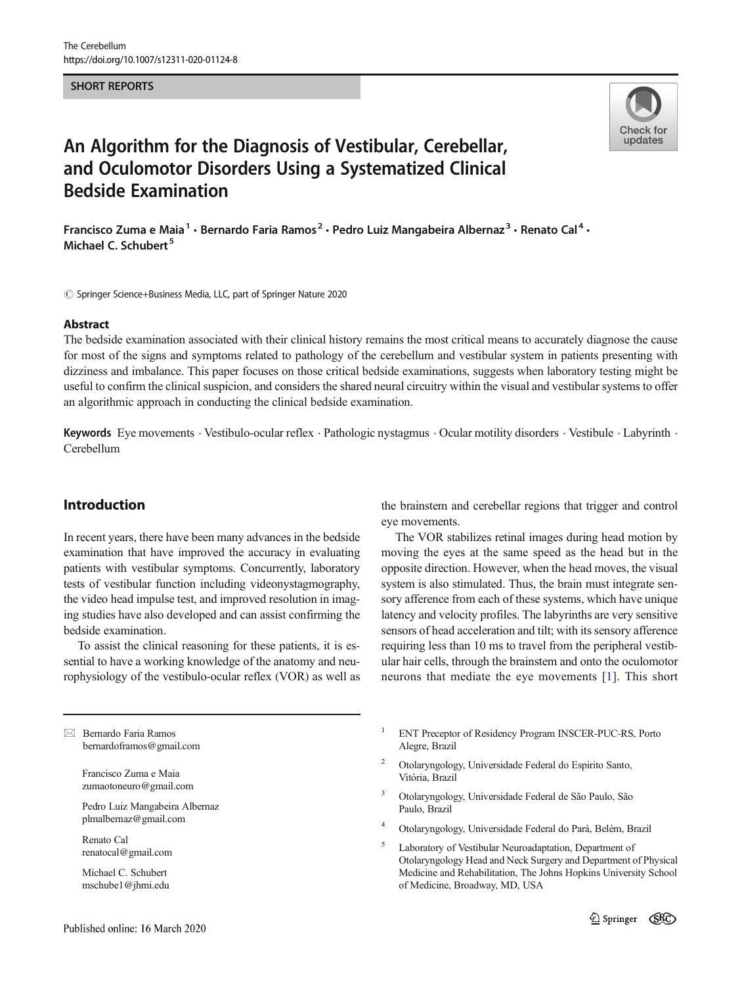#### SHORT REPORTS



# An Algorithm for the Diagnosis of Vestibular, Cerebellar, and Oculomotor Disorders Using a Systematized Clinical Bedside Examination

Francisco Zuma e Maia<sup>1</sup> · Bernardo Faria Ramos<sup>2</sup> · Pedro Luiz Mangabeira Albernaz<sup>3</sup> · Renato Cal<sup>4</sup> · Michael C. Schubert<sup>5</sup>

 $\odot$  Springer Science+Business Media, LLC, part of Springer Nature 2020

#### Abstract

The bedside examination associated with their clinical history remains the most critical means to accurately diagnose the cause for most of the signs and symptoms related to pathology of the cerebellum and vestibular system in patients presenting with dizziness and imbalance. This paper focuses on those critical bedside examinations, suggests when laboratory testing might be useful to confirm the clinical suspicion, and considers the shared neural circuitry within the visual and vestibular systems to offer an algorithmic approach in conducting the clinical bedside examination.

Keywords Eye movements · Vestibulo-ocular reflex · Pathologic nystagmus · Ocular motility disorders · Vestibule · Labyrinth · Cerebellum

# Introduction

In recent years, there have been many advances in the bedside examination that have improved the accuracy in evaluating patients with vestibular symptoms. Concurrently, laboratory tests of vestibular function including videonystagmography, the video head impulse test, and improved resolution in imaging studies have also developed and can assist confirming the bedside examination.

To assist the clinical reasoning for these patients, it is essential to have a working knowledge of the anatomy and neurophysiology of the vestibulo-ocular reflex (VOR) as well as the brainstem and cerebellar regions that trigger and control eye movements.

The VOR stabilizes retinal images during head motion by moving the eyes at the same speed as the head but in the opposite direction. However, when the head moves, the visual system is also stimulated. Thus, the brain must integrate sensory afference from each of these systems, which have unique latency and velocity profiles. The labyrinths are very sensitive sensors of head acceleration and tilt; with its sensory afference requiring less than 10 ms to travel from the peripheral vestibular hair cells, through the brainstem and onto the oculomotor neurons that mediate the eye movements [[1\]](#page-6-0). This short

 $\boxtimes$  Bernardo Faria Ramos [bernardoframos@gmail.com](mailto:bernardoframos@gmail.com)

> Francisco Zuma e Maia zumaotoneuro@gmail.com

Pedro Luiz Mangabeira Albernaz plmalbernaz@gmail.com

Renato Cal renatocal@gmail.com

Michael C. Schubert mschube1@jhmi.edu

- <sup>1</sup> ENT Preceptor of Residency Program INSCER-PUC-RS, Porto Alegre, Brazil
- <sup>2</sup> Otolaryngology, Universidade Federal do Espirito Santo, Vitória, Brazil
- <sup>3</sup> Otolaryngology, Universidade Federal de São Paulo, São Paulo, Brazil
- <sup>4</sup> Otolaryngology, Universidade Federal do Pará, Belém, Brazil
- Laboratory of Vestibular Neuroadaptation, Department of Otolaryngology Head and Neck Surgery and Department of Physical Medicine and Rehabilitation, The Johns Hopkins University School of Medicine, Broadway, MD, USA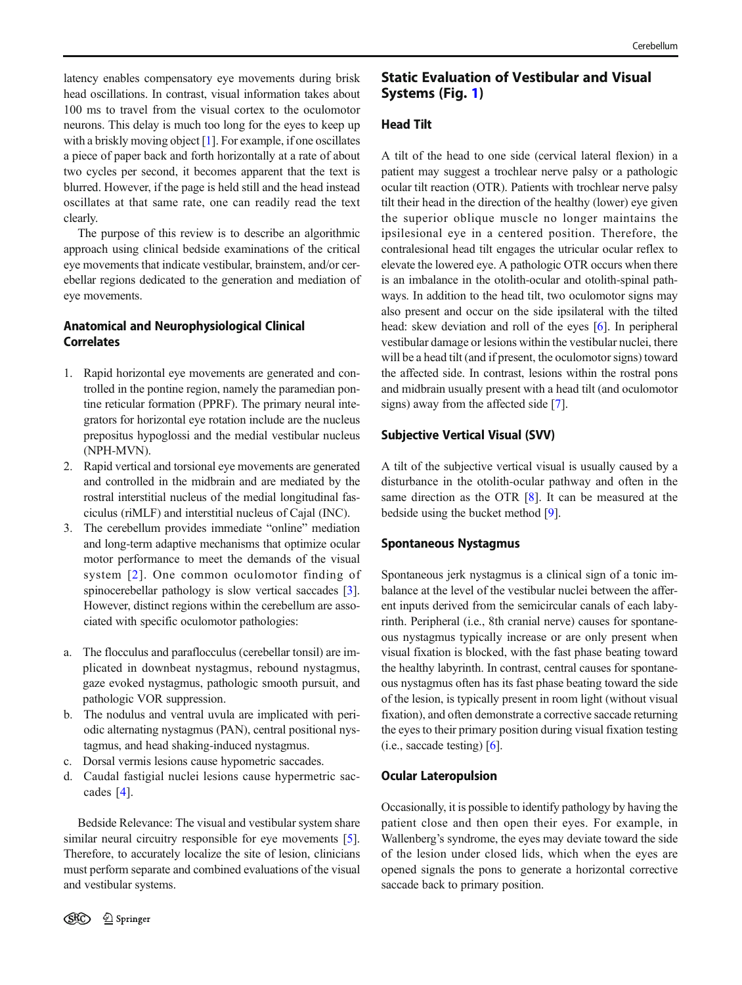latency enables compensatory eye movements during brisk head oscillations. In contrast, visual information takes about 100 ms to travel from the visual cortex to the oculomotor neurons. This delay is much too long for the eyes to keep up with a briskly moving object [\[1](#page-6-0)]. For example, if one oscillates a piece of paper back and forth horizontally at a rate of about two cycles per second, it becomes apparent that the text is blurred. However, if the page is held still and the head instead oscillates at that same rate, one can readily read the text clearly.

The purpose of this review is to describe an algorithmic approach using clinical bedside examinations of the critical eye movements that indicate vestibular, brainstem, and/or cerebellar regions dedicated to the generation and mediation of eye movements.

## Anatomical and Neurophysiological Clinical Correlates

- 1. Rapid horizontal eye movements are generated and controlled in the pontine region, namely the paramedian pontine reticular formation (PPRF). The primary neural integrators for horizontal eye rotation include are the nucleus prepositus hypoglossi and the medial vestibular nucleus (NPH-MVN).
- 2. Rapid vertical and torsional eye movements are generated and controlled in the midbrain and are mediated by the rostral interstitial nucleus of the medial longitudinal fasciculus (riMLF) and interstitial nucleus of Cajal (INC).
- 3. The cerebellum provides immediate "online" mediation and long-term adaptive mechanisms that optimize ocular motor performance to meet the demands of the visual system [[2\]](#page-6-0). One common oculomotor finding of spinocerebellar pathology is slow vertical saccades [[3](#page-6-0)]. However, distinct regions within the cerebellum are associated with specific oculomotor pathologies:
- a. The flocculus and paraflocculus (cerebellar tonsil) are implicated in downbeat nystagmus, rebound nystagmus, gaze evoked nystagmus, pathologic smooth pursuit, and pathologic VOR suppression.
- b. The nodulus and ventral uvula are implicated with periodic alternating nystagmus (PAN), central positional nystagmus, and head shaking-induced nystagmus.
- c. Dorsal vermis lesions cause hypometric saccades.
- d. Caudal fastigial nuclei lesions cause hypermetric saccades [\[4](#page-6-0)].

Bedside Relevance: The visual and vestibular system share similar neural circuitry responsible for eye movements [[5](#page-7-0)]. Therefore, to accurately localize the site of lesion, clinicians must perform separate and combined evaluations of the visual and vestibular systems.

### Static Evaluation of Vestibular and Visual Systems (Fig. [1\)](#page-2-0)

### Head Tilt

A tilt of the head to one side (cervical lateral flexion) in a patient may suggest a trochlear nerve palsy or a pathologic ocular tilt reaction (OTR). Patients with trochlear nerve palsy tilt their head in the direction of the healthy (lower) eye given the superior oblique muscle no longer maintains the ipsilesional eye in a centered position. Therefore, the contralesional head tilt engages the utricular ocular reflex to elevate the lowered eye. A pathologic OTR occurs when there is an imbalance in the otolith-ocular and otolith-spinal pathways. In addition to the head tilt, two oculomotor signs may also present and occur on the side ipsilateral with the tilted head: skew deviation and roll of the eyes [[6](#page-7-0)]. In peripheral vestibular damage or lesions within the vestibular nuclei, there will be a head tilt (and if present, the oculomotor signs) toward the affected side. In contrast, lesions within the rostral pons and midbrain usually present with a head tilt (and oculomotor signs) away from the affected side [[7\]](#page-7-0).

#### Subjective Vertical Visual (SVV)

A tilt of the subjective vertical visual is usually caused by a disturbance in the otolith-ocular pathway and often in the same direction as the OTR [\[8](#page-7-0)]. It can be measured at the bedside using the bucket method [\[9\]](#page-7-0).

#### Spontaneous Nystagmus

Spontaneous jerk nystagmus is a clinical sign of a tonic imbalance at the level of the vestibular nuclei between the afferent inputs derived from the semicircular canals of each labyrinth. Peripheral (i.e., 8th cranial nerve) causes for spontaneous nystagmus typically increase or are only present when visual fixation is blocked, with the fast phase beating toward the healthy labyrinth. In contrast, central causes for spontaneous nystagmus often has its fast phase beating toward the side of the lesion, is typically present in room light (without visual fixation), and often demonstrate a corrective saccade returning the eyes to their primary position during visual fixation testing  $(i.e., \text{saccade testing})$  [\[6](#page-7-0)].

#### Ocular Lateropulsion

Occasionally, it is possible to identify pathology by having the patient close and then open their eyes. For example, in Wallenberg's syndrome, the eyes may deviate toward the side of the lesion under closed lids, which when the eyes are opened signals the pons to generate a horizontal corrective saccade back to primary position.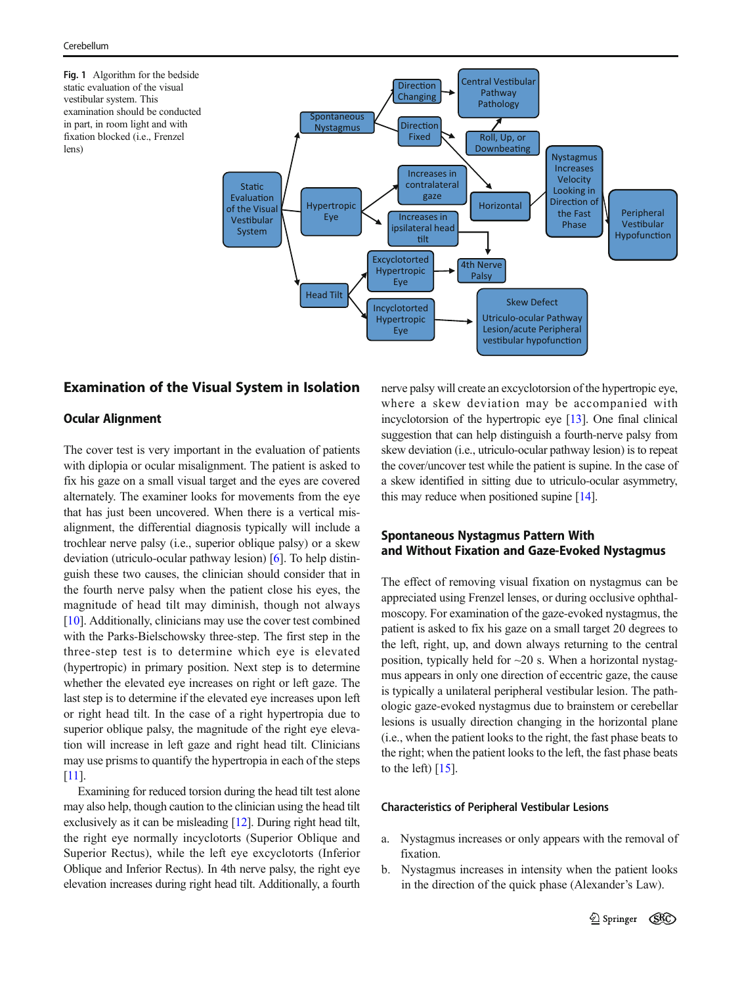<span id="page-2-0"></span>Fig. 1 Algorithm for the bedside static evaluation of the visual vestibular system. This examination should be conducted in part, in room light and with fixation blocked (i.e., Frenzel lens)



# Examination of the Visual System in Isolation

### Ocular Alignment

The cover test is very important in the evaluation of patients with diplopia or ocular misalignment. The patient is asked to fix his gaze on a small visual target and the eyes are covered alternately. The examiner looks for movements from the eye that has just been uncovered. When there is a vertical misalignment, the differential diagnosis typically will include a trochlear nerve palsy (i.e., superior oblique palsy) or a skew deviation (utriculo-ocular pathway lesion) [[6](#page-7-0)]. To help distinguish these two causes, the clinician should consider that in the fourth nerve palsy when the patient close his eyes, the magnitude of head tilt may diminish, though not always [\[10\]](#page-7-0). Additionally, clinicians may use the cover test combined with the Parks-Bielschowsky three-step. The first step in the three-step test is to determine which eye is elevated (hypertropic) in primary position. Next step is to determine whether the elevated eye increases on right or left gaze. The last step is to determine if the elevated eye increases upon left or right head tilt. In the case of a right hypertropia due to superior oblique palsy, the magnitude of the right eye elevation will increase in left gaze and right head tilt. Clinicians may use prisms to quantify the hypertropia in each of the steps [\[11\]](#page-7-0).

Examining for reduced torsion during the head tilt test alone may also help, though caution to the clinician using the head tilt exclusively as it can be misleading [\[12](#page-7-0)]. During right head tilt, the right eye normally incyclotorts (Superior Oblique and Superior Rectus), while the left eye excyclotorts (Inferior Oblique and Inferior Rectus). In 4th nerve palsy, the right eye elevation increases during right head tilt. Additionally, a fourth nerve palsy will create an excyclotorsion of the hypertropic eye, where a skew deviation may be accompanied with incyclotorsion of the hypertropic eye [[13](#page-7-0)]. One final clinical suggestion that can help distinguish a fourth-nerve palsy from skew deviation (i.e., utriculo-ocular pathway lesion) is to repeat the cover/uncover test while the patient is supine. In the case of a skew identified in sitting due to utriculo-ocular asymmetry, this may reduce when positioned supine [\[14\]](#page-7-0).

### Spontaneous Nystagmus Pattern With and Without Fixation and Gaze-Evoked Nystagmus

The effect of removing visual fixation on nystagmus can be appreciated using Frenzel lenses, or during occlusive ophthalmoscopy. For examination of the gaze-evoked nystagmus, the patient is asked to fix his gaze on a small target 20 degrees to the left, right, up, and down always returning to the central position, typically held for  $\sim$ 20 s. When a horizontal nystagmus appears in only one direction of eccentric gaze, the cause is typically a unilateral peripheral vestibular lesion. The pathologic gaze-evoked nystagmus due to brainstem or cerebellar lesions is usually direction changing in the horizontal plane (i.e., when the patient looks to the right, the fast phase beats to the right; when the patient looks to the left, the fast phase beats to the left)  $[15]$  $[15]$ .

#### Characteristics of Peripheral Vestibular Lesions

- a. Nystagmus increases or only appears with the removal of fixation.
- b. Nystagmus increases in intensity when the patient looks in the direction of the quick phase (Alexander's Law).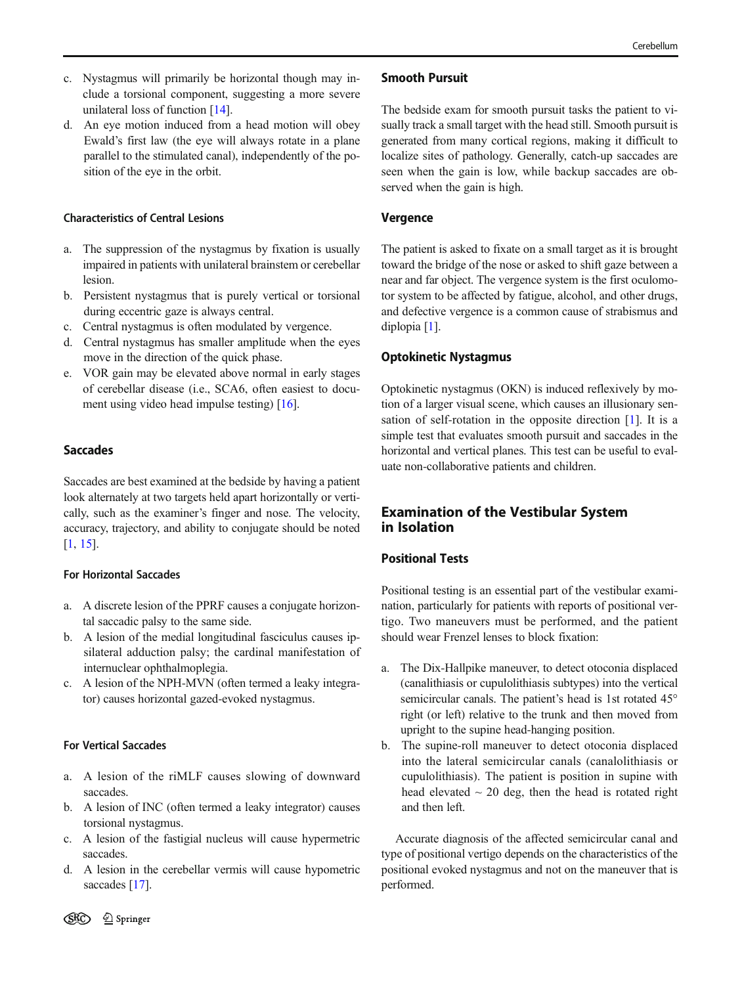- c. Nystagmus will primarily be horizontal though may include a torsional component, suggesting a more severe unilateral loss of function [[14](#page-7-0)].
- d. An eye motion induced from a head motion will obey Ewald's first law (the eye will always rotate in a plane parallel to the stimulated canal), independently of the position of the eye in the orbit.

### Characteristics of Central Lesions

- a. The suppression of the nystagmus by fixation is usually impaired in patients with unilateral brainstem or cerebellar lesion.
- b. Persistent nystagmus that is purely vertical or torsional during eccentric gaze is always central.
- c. Central nystagmus is often modulated by vergence.
- d. Central nystagmus has smaller amplitude when the eyes move in the direction of the quick phase.
- e. VOR gain may be elevated above normal in early stages of cerebellar disease (i.e., SCA6, often easiest to document using video head impulse testing) [\[16](#page-7-0)].

### Saccades

Saccades are best examined at the bedside by having a patient look alternately at two targets held apart horizontally or vertically, such as the examiner's finger and nose. The velocity, accuracy, trajectory, and ability to conjugate should be noted [\[1](#page-6-0), [15\]](#page-7-0).

#### For Horizontal Saccades

- a. A discrete lesion of the PPRF causes a conjugate horizontal saccadic palsy to the same side.
- b. A lesion of the medial longitudinal fasciculus causes ipsilateral adduction palsy; the cardinal manifestation of internuclear ophthalmoplegia.
- c. A lesion of the NPH-MVN (often termed a leaky integrator) causes horizontal gazed-evoked nystagmus.

### For Vertical Saccades

- a. A lesion of the riMLF causes slowing of downward saccades.
- b. A lesion of INC (often termed a leaky integrator) causes torsional nystagmus.
- c. A lesion of the fastigial nucleus will cause hypermetric saccades.
- d. A lesion in the cerebellar vermis will cause hypometric saccades [[17](#page-7-0)].

## Smooth Pursuit

The bedside exam for smooth pursuit tasks the patient to visually track a small target with the head still. Smooth pursuit is generated from many cortical regions, making it difficult to localize sites of pathology. Generally, catch-up saccades are seen when the gain is low, while backup saccades are observed when the gain is high.

### Vergence

The patient is asked to fixate on a small target as it is brought toward the bridge of the nose or asked to shift gaze between a near and far object. The vergence system is the first oculomotor system to be affected by fatigue, alcohol, and other drugs, and defective vergence is a common cause of strabismus and diplopia [[1](#page-6-0)].

# Optokinetic Nystagmus

Optokinetic nystagmus (OKN) is induced reflexively by motion of a larger visual scene, which causes an illusionary sensation of self-rotation in the opposite direction [\[1](#page-6-0)]. It is a simple test that evaluates smooth pursuit and saccades in the horizontal and vertical planes. This test can be useful to evaluate non-collaborative patients and children.

# Examination of the Vestibular System in Isolation

# Positional Tests

Positional testing is an essential part of the vestibular examination, particularly for patients with reports of positional vertigo. Two maneuvers must be performed, and the patient should wear Frenzel lenses to block fixation:

- a. The Dix-Hallpike maneuver, to detect otoconia displaced (canalithiasis or cupulolithiasis subtypes) into the vertical semicircular canals. The patient's head is 1st rotated 45° right (or left) relative to the trunk and then moved from upright to the supine head-hanging position.
- b. The supine-roll maneuver to detect otoconia displaced into the lateral semicircular canals (canalolithiasis or cupulolithiasis). The patient is position in supine with head elevated  $\sim$  20 deg, then the head is rotated right and then left.

Accurate diagnosis of the affected semicircular canal and type of positional vertigo depends on the characteristics of the positional evoked nystagmus and not on the maneuver that is performed.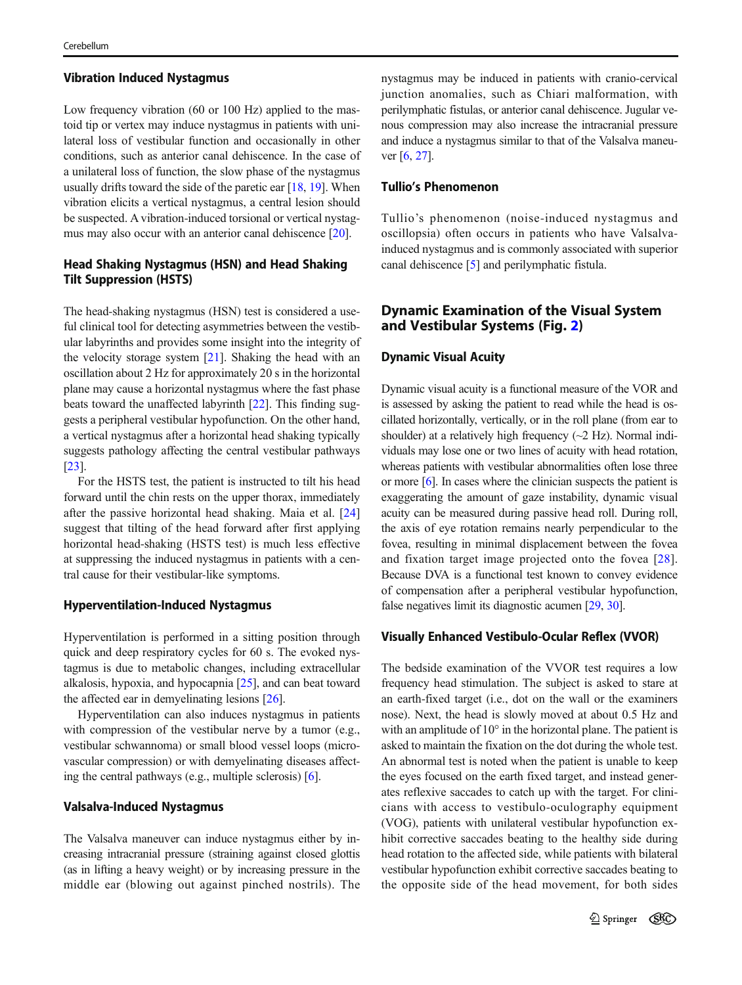#### Vibration Induced Nystagmus

Low frequency vibration (60 or 100 Hz) applied to the mastoid tip or vertex may induce nystagmus in patients with unilateral loss of vestibular function and occasionally in other conditions, such as anterior canal dehiscence. In the case of a unilateral loss of function, the slow phase of the nystagmus usually drifts toward the side of the paretic ear  $[18, 19]$  $[18, 19]$  $[18, 19]$  $[18, 19]$ . When vibration elicits a vertical nystagmus, a central lesion should be suspected. A vibration-induced torsional or vertical nystagmus may also occur with an anterior canal dehiscence [\[20\]](#page-7-0).

### Head Shaking Nystagmus (HSN) and Head Shaking Tilt Suppression (HSTS)

The head-shaking nystagmus (HSN) test is considered a useful clinical tool for detecting asymmetries between the vestibular labyrinths and provides some insight into the integrity of the velocity storage system [[21](#page-7-0)]. Shaking the head with an oscillation about 2 Hz for approximately 20 s in the horizontal plane may cause a horizontal nystagmus where the fast phase beats toward the unaffected labyrinth [[22\]](#page-7-0). This finding suggests a peripheral vestibular hypofunction. On the other hand, a vertical nystagmus after a horizontal head shaking typically suggests pathology affecting the central vestibular pathways [\[23\]](#page-7-0).

For the HSTS test, the patient is instructed to tilt his head forward until the chin rests on the upper thorax, immediately after the passive horizontal head shaking. Maia et al. [[24\]](#page-7-0) suggest that tilting of the head forward after first applying horizontal head-shaking (HSTS test) is much less effective at suppressing the induced nystagmus in patients with a central cause for their vestibular-like symptoms.

#### Hyperventilation-Induced Nystagmus

Hyperventilation is performed in a sitting position through quick and deep respiratory cycles for 60 s. The evoked nystagmus is due to metabolic changes, including extracellular alkalosis, hypoxia, and hypocapnia [\[25\]](#page-7-0), and can beat toward the affected ear in demyelinating lesions [\[26\]](#page-7-0).

Hyperventilation can also induces nystagmus in patients with compression of the vestibular nerve by a tumor (e.g., vestibular schwannoma) or small blood vessel loops (microvascular compression) or with demyelinating diseases affecting the central pathways (e.g., multiple sclerosis) [\[6](#page-7-0)].

### Valsalva-Induced Nystagmus

The Valsalva maneuver can induce nystagmus either by increasing intracranial pressure (straining against closed glottis (as in lifting a heavy weight) or by increasing pressure in the middle ear (blowing out against pinched nostrils). The nystagmus may be induced in patients with cranio-cervical junction anomalies, such as Chiari malformation, with perilymphatic fistulas, or anterior canal dehiscence. Jugular venous compression may also increase the intracranial pressure and induce a nystagmus similar to that of the Valsalva maneuver [\[6,](#page-7-0) [27](#page-7-0)].

#### Tullio's Phenomenon

Tullio's phenomenon (noise-induced nystagmus and oscillopsia) often occurs in patients who have Valsalvainduced nystagmus and is commonly associated with superior canal dehiscence [\[5](#page-7-0)] and perilymphatic fistula.

### Dynamic Examination of the Visual System and Vestibular Systems (Fig. [2\)](#page-5-0)

#### Dynamic Visual Acuity

Dynamic visual acuity is a functional measure of the VOR and is assessed by asking the patient to read while the head is oscillated horizontally, vertically, or in the roll plane (from ear to shoulder) at a relatively high frequency  $(\sim$ 2 Hz). Normal individuals may lose one or two lines of acuity with head rotation, whereas patients with vestibular abnormalities often lose three or more [[6\]](#page-7-0). In cases where the clinician suspects the patient is exaggerating the amount of gaze instability, dynamic visual acuity can be measured during passive head roll. During roll, the axis of eye rotation remains nearly perpendicular to the fovea, resulting in minimal displacement between the fovea and fixation target image projected onto the fovea [[28](#page-7-0)]. Because DVA is a functional test known to convey evidence of compensation after a peripheral vestibular hypofunction, false negatives limit its diagnostic acumen [[29](#page-7-0), [30\]](#page-7-0).

### Visually Enhanced Vestibulo-Ocular Reflex (VVOR)

The bedside examination of the VVOR test requires a low frequency head stimulation. The subject is asked to stare at an earth-fixed target (i.e., dot on the wall or the examiners nose). Next, the head is slowly moved at about 0.5 Hz and with an amplitude of 10° in the horizontal plane. The patient is asked to maintain the fixation on the dot during the whole test. An abnormal test is noted when the patient is unable to keep the eyes focused on the earth fixed target, and instead generates reflexive saccades to catch up with the target. For clinicians with access to vestibulo-oculography equipment (VOG), patients with unilateral vestibular hypofunction exhibit corrective saccades beating to the healthy side during head rotation to the affected side, while patients with bilateral vestibular hypofunction exhibit corrective saccades beating to the opposite side of the head movement, for both sides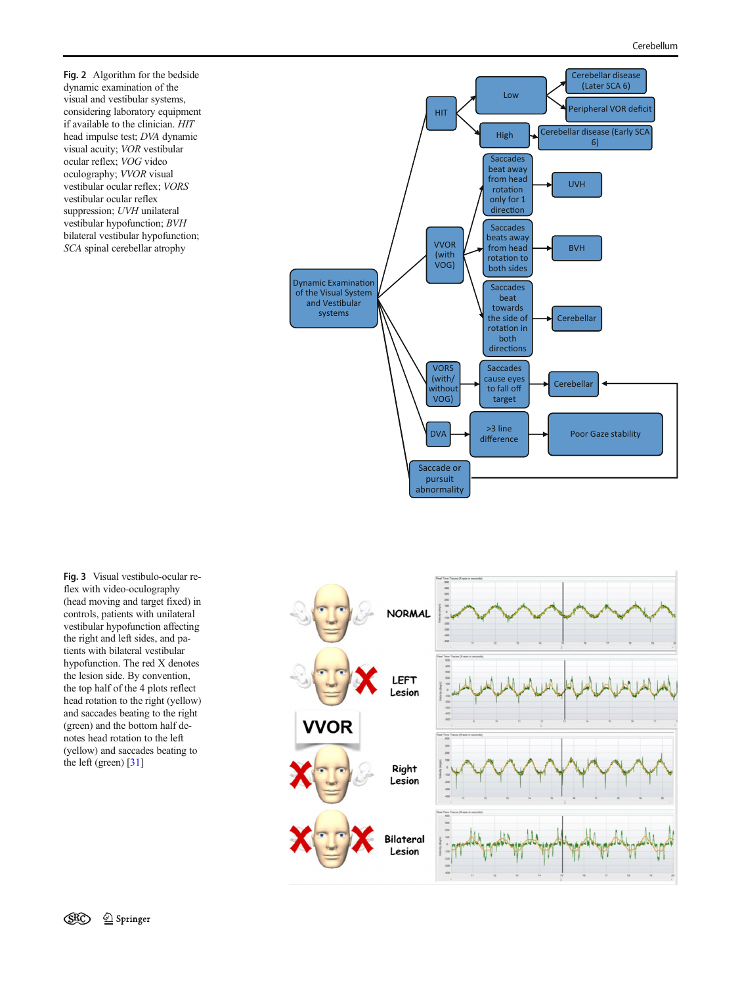<span id="page-5-0"></span>Fig. 2 Algorithm for the bedside dynamic examination of the visual and vestibular systems, considering laboratory equipment if available to the clinician. HIT head impulse test; DVA dynamic visual acuity; VOR vestibular ocular reflex; VOG video oculography; VVOR visual vestibular ocular reflex; VORS vestibular ocular reflex suppression; UVH unilateral vestibular hypofunction; BVH bilateral vestibular hypofunction; SCA spinal cerebellar atrophy



Fig. 3 Visual vestibulo-ocular reflex with video-oculography (head moving and target fixed) in controls, patients with unilateral vestibular hypofunction affecting the right and left sides, and patients with bilateral vestibular hypofunction. The red X denotes the lesion side. By convention, the top half of the 4 plots reflect head rotation to the right (yellow) and saccades beating to the right (green) and the bottom half denotes head rotation to the left (yellow) and saccades beating to the left (green) [\[31\]](#page-7-0)

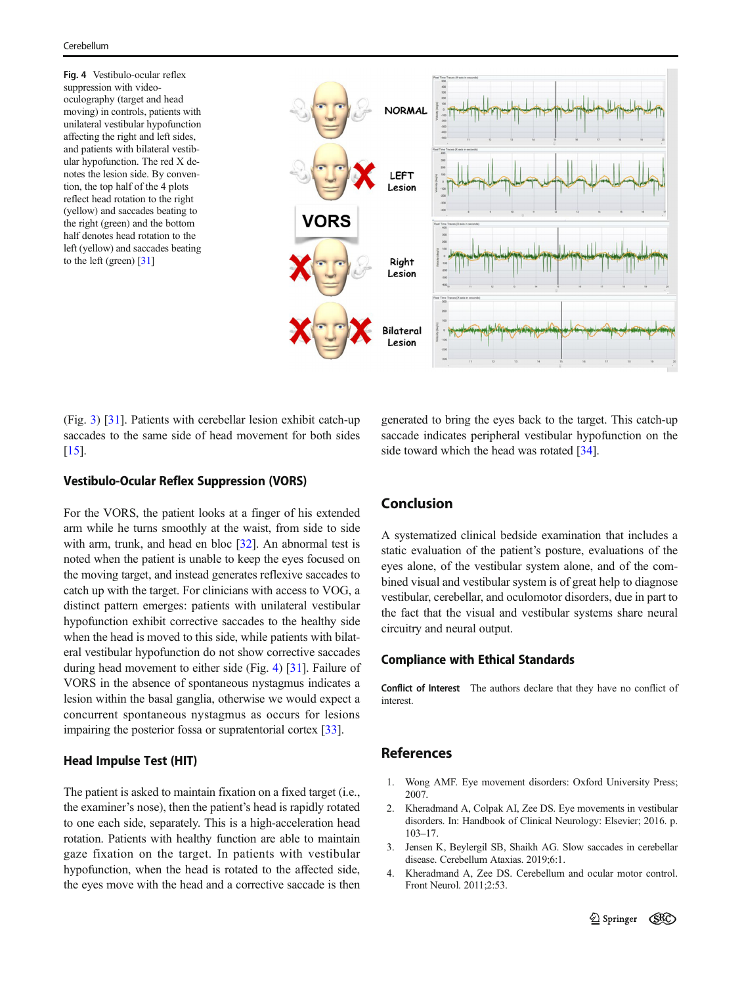<span id="page-6-0"></span>Fig. 4 Vestibulo-ocular reflex suppression with videooculography (target and head moving) in controls, patients with unilateral vestibular hypofunction affecting the right and left sides, and patients with bilateral vestibular hypofunction. The red X denotes the lesion side. By convention, the top half of the 4 plots reflect head rotation to the right (yellow) and saccades beating to the right (green) and the bottom half denotes head rotation to the left (yellow) and saccades beating to the left (green) [\[31](#page-7-0)]



(Fig. [3](#page-5-0)) [[31\]](#page-7-0). Patients with cerebellar lesion exhibit catch-up saccades to the same side of head movement for both sides [\[15\]](#page-7-0).

generated to bring the eyes back to the target. This catch-up saccade indicates peripheral vestibular hypofunction on the side toward which the head was rotated [\[34\]](#page-7-0).

### Vestibulo-Ocular Reflex Suppression (VORS)

For the VORS, the patient looks at a finger of his extended arm while he turns smoothly at the waist, from side to side with arm, trunk, and head en bloc [[32](#page-7-0)]. An abnormal test is noted when the patient is unable to keep the eyes focused on the moving target, and instead generates reflexive saccades to catch up with the target. For clinicians with access to VOG, a distinct pattern emerges: patients with unilateral vestibular hypofunction exhibit corrective saccades to the healthy side when the head is moved to this side, while patients with bilateral vestibular hypofunction do not show corrective saccades during head movement to either side (Fig. 4) [[31\]](#page-7-0). Failure of VORS in the absence of spontaneous nystagmus indicates a lesion within the basal ganglia, otherwise we would expect a concurrent spontaneous nystagmus as occurs for lesions impairing the posterior fossa or supratentorial cortex [\[33\]](#page-7-0).

### Head Impulse Test (HIT)

The patient is asked to maintain fixation on a fixed target (i.e., the examiner's nose), then the patient's head is rapidly rotated to one each side, separately. This is a high-acceleration head rotation. Patients with healthy function are able to maintain gaze fixation on the target. In patients with vestibular hypofunction, when the head is rotated to the affected side, the eyes move with the head and a corrective saccade is then

### Conclusion

A systematized clinical bedside examination that includes a static evaluation of the patient's posture, evaluations of the eyes alone, of the vestibular system alone, and of the combined visual and vestibular system is of great help to diagnose vestibular, cerebellar, and oculomotor disorders, due in part to the fact that the visual and vestibular systems share neural circuitry and neural output.

#### Compliance with Ethical Standards

Conflict of Interest The authors declare that they have no conflict of interest.

# References

- 1. Wong AMF. Eye movement disorders: Oxford University Press; 2007.
- 2. Kheradmand A, Colpak AI, Zee DS. Eye movements in vestibular disorders. In: Handbook of Clinical Neurology: Elsevier; 2016. p. 103–17.
- 3. Jensen K, Beylergil SB, Shaikh AG. Slow saccades in cerebellar disease. Cerebellum Ataxias. 2019;6:1.
- Kheradmand A, Zee DS. Cerebellum and ocular motor control. Front Neurol. 2011;2:53.